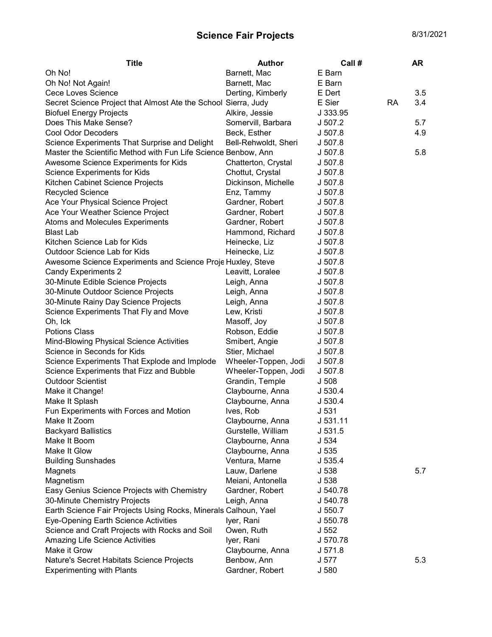## Science Fair Projects 8/31/2021

| <b>Title</b>                                                    | <b>Author</b>        | Call #           |    | AR  |
|-----------------------------------------------------------------|----------------------|------------------|----|-----|
| Oh No!                                                          | Barnett, Mac         | E Barn           |    |     |
| Oh No! Not Again!                                               | Barnett, Mac         | E Barn           |    |     |
| Cece Loves Science                                              | Derting, Kimberly    | E Dert           |    | 3.5 |
| Secret Science Project that Almost Ate the School Sierra, Judy  |                      | E Sier           | RA | 3.4 |
| <b>Biofuel Energy Projects</b>                                  | Alkire, Jessie       | J 333.95         |    |     |
| Does This Make Sense?                                           | Somervill, Barbara   | J 507.2          |    | 5.7 |
| <b>Cool Odor Decoders</b>                                       | Beck, Esther         | J 507.8          |    | 4.9 |
| Science Experiments That Surprise and Delight                   | Bell-Rehwoldt, Sheri | J 507.8          |    |     |
| Master the Scientific Method with Fun Life Science Benbow, Ann  |                      | J 507.8          |    | 5.8 |
| Awesome Science Experiments for Kids                            | Chatterton, Crystal  | J 507.8          |    |     |
| Science Experiments for Kids                                    | Chottut, Crystal     | J 507.8          |    |     |
| Kitchen Cabinet Science Projects                                | Dickinson, Michelle  | J 507.8          |    |     |
| Recycled Science                                                | Enz, Tammy           | J 507.8          |    |     |
| Ace Your Physical Science Project                               | Gardner, Robert      | J 507.8          |    |     |
| Ace Your Weather Science Project                                | Gardner, Robert      | J 507.8          |    |     |
| Atoms and Molecules Experiments                                 | Gardner, Robert      | J 507.8          |    |     |
| <b>Blast Lab</b>                                                | Hammond, Richard     | J 507.8          |    |     |
| Kitchen Science Lab for Kids                                    | Heinecke, Liz        | J 507.8          |    |     |
| Outdoor Science Lab for Kids                                    | Heinecke, Liz        | J 507.8          |    |     |
| Awesome Science Experiments and Science Proje Huxley, Steve     |                      | J 507.8          |    |     |
| <b>Candy Experiments 2</b>                                      | Leavitt, Loralee     | J 507.8          |    |     |
| 30-Minute Edible Science Projects                               | Leigh, Anna          | J 507.8          |    |     |
| 30-Minute Outdoor Science Projects                              | Leigh, Anna          | J 507.8          |    |     |
| 30-Minute Rainy Day Science Projects                            | Leigh, Anna          | J 507.8          |    |     |
| Science Experiments That Fly and Move                           | Lew, Kristi          | J 507.8          |    |     |
| Oh, Ick                                                         | Masoff, Joy          | J 507.8          |    |     |
| <b>Potions Class</b>                                            | Robson, Eddie        | J 507.8          |    |     |
| Mind-Blowing Physical Science Activities                        | Smibert, Angie       | J 507.8          |    |     |
| Science in Seconds for Kids                                     | Stier, Michael       | J 507.8          |    |     |
| Science Experiments That Explode and Implode                    | Wheeler-Toppen, Jodi | J 507.8          |    |     |
| Science Experiments that Fizz and Bubble                        | Wheeler-Toppen, Jodi | J 507.8          |    |     |
| <b>Outdoor Scientist</b>                                        | Grandin, Temple      | J <sub>508</sub> |    |     |
| Make it Change!                                                 | Claybourne, Anna     | J 530.4          |    |     |
| Make It Splash                                                  | Claybourne, Anna     | J 530.4          |    |     |
| Fun Experiments with Forces and Motion                          | Ives, Rob            | J 531            |    |     |
| Make It Zoom                                                    | Claybourne, Anna     | J 531.11         |    |     |
| <b>Backyard Ballistics</b>                                      | Gurstelle, William   | J 531.5          |    |     |
| Make It Boom                                                    | Claybourne, Anna     | J 534            |    |     |
| Make It Glow                                                    | Claybourne, Anna     | J 535            |    |     |
| <b>Building Sunshades</b>                                       | Ventura, Marne       | J 535.4          |    |     |
| Magnets                                                         | Lauw, Darlene        | J 538            |    | 5.7 |
| Magnetism                                                       | Meiani, Antonella    | J 538            |    |     |
| Easy Genius Science Projects with Chemistry                     | Gardner, Robert      | J 540.78         |    |     |
| 30-Minute Chemistry Projects                                    | Leigh, Anna          | J 540.78         |    |     |
| Earth Science Fair Projects Using Rocks, Minerals Calhoun, Yael |                      | J 550.7          |    |     |
| Eye-Opening Earth Science Activities                            | Iyer, Rani           | J 550.78         |    |     |
| Science and Craft Projects with Rocks and Soil                  | Owen, Ruth           | J <sub>552</sub> |    |     |
| Amazing Life Science Activities                                 | Iyer, Rani           | J 570.78         |    |     |
| Make it Grow                                                    | Claybourne, Anna     | J 571.8          |    |     |
| Nature's Secret Habitats Science Projects                       | Benbow, Ann          | J 577            |    | 5.3 |
| <b>Experimenting with Plants</b>                                | Gardner, Robert      | J 580            |    |     |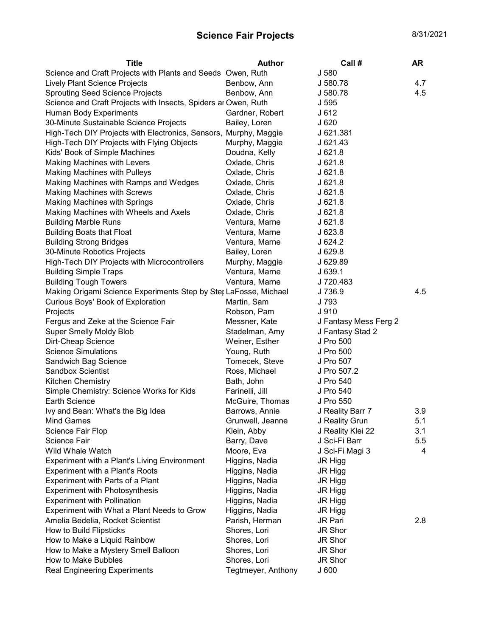## Science Fair Projects 8/31/2021

| <b>Title</b>                                                     | <b>Author</b>      | Call #                | AR  |
|------------------------------------------------------------------|--------------------|-----------------------|-----|
| Science and Craft Projects with Plants and Seeds Owen, Ruth      |                    | J 580                 |     |
| Lively Plant Science Projects                                    | Benbow, Ann        | J 580.78              | 4.7 |
| <b>Sprouting Seed Science Projects</b>                           | Benbow, Ann        | J 580.78              | 4.5 |
| Science and Craft Projects with Insects, Spiders ar Owen, Ruth   |                    | J 595                 |     |
| Human Body Experiments                                           | Gardner, Robert    | J 612                 |     |
| 30-Minute Sustainable Science Projects                           | Bailey, Loren      | J620                  |     |
| High-Tech DIY Projects with Electronics, Sensors, Murphy, Maggie |                    | J 621.381             |     |
| High-Tech DIY Projects with Flying Objects                       | Murphy, Maggie     | $J$ 621.43            |     |
| Kids' Book of Simple Machines                                    | Doudna, Kelly      | J621.8                |     |
| Making Machines with Levers                                      | Oxlade, Chris      | $J$ 621.8             |     |
| <b>Making Machines with Pulleys</b>                              | Oxlade, Chris      | J621.8                |     |
| Making Machines with Ramps and Wedges                            | Oxlade, Chris      | J621.8                |     |
| <b>Making Machines with Screws</b>                               | Oxlade, Chris      | J621.8                |     |
| <b>Making Machines with Springs</b>                              | Oxlade, Chris      | J621.8                |     |
| Making Machines with Wheels and Axels                            | Oxlade, Chris      | J621.8                |     |
| <b>Building Marble Runs</b>                                      | Ventura, Marne     | J621.8                |     |
| <b>Building Boats that Float</b>                                 | Ventura, Marne     | J623.8                |     |
| <b>Building Strong Bridges</b>                                   | Ventura, Marne     | J624.2                |     |
| 30-Minute Robotics Projects                                      | Bailey, Loren      | J629.8                |     |
| High-Tech DIY Projects with Microcontrollers                     | Murphy, Maggie     | J 629.89              |     |
| <b>Building Simple Traps</b>                                     | Ventura, Marne     | J639.1                |     |
| <b>Building Tough Towers</b>                                     | Ventura, Marne     | J 720.483             |     |
| Making Origami Science Experiments Step by Ster LaFosse, Michael |                    | J 736.9               | 4.5 |
| Curious Boys' Book of Exploration                                | Martin, Sam        | J 793                 |     |
| Projects                                                         | Robson, Pam        | J <sub>910</sub>      |     |
| Fergus and Zeke at the Science Fair                              | Messner, Kate      | J Fantasy Mess Ferg 2 |     |
| <b>Super Smelly Moldy Blob</b>                                   | Stadelman, Amy     | J Fantasy Stad 2      |     |
| Dirt-Cheap Science                                               | Weiner, Esther     | J Pro 500             |     |
| <b>Science Simulations</b>                                       | Young, Ruth        | J Pro 500             |     |
| Sandwich Bag Science                                             | Tomecek, Steve     | J Pro 507             |     |
| <b>Sandbox Scientist</b>                                         | Ross, Michael      | J Pro 507.2           |     |
| Kitchen Chemistry                                                | Bath, John         | J Pro 540             |     |
| Simple Chemistry: Science Works for Kids                         | Farinelli, Jill    | J Pro 540             |     |
| <b>Earth Science</b>                                             | McGuire, Thomas    | J Pro 550             |     |
| Ivy and Bean: What's the Big Idea                                | Barrows, Annie     | J Reality Barr 7      | 3.9 |
| <b>Mind Games</b>                                                | Grunwell, Jeanne   | J Reality Grun        | 5.1 |
| Science Fair Flop                                                | Klein, Abby        | J Reality Klei 22     | 3.1 |
| Science Fair                                                     | Barry, Dave        | J Sci-Fi Barr         | 5.5 |
| Wild Whale Watch                                                 | Moore, Eva         | J Sci-Fi Magi 3       | 4   |
| Experiment with a Plant's Living Environment                     | Higgins, Nadia     | JR Higg               |     |
| <b>Experiment with a Plant's Roots</b>                           | Higgins, Nadia     | JR Higg               |     |
| Experiment with Parts of a Plant                                 | Higgins, Nadia     | JR Higg               |     |
| <b>Experiment with Photosynthesis</b>                            | Higgins, Nadia     | JR Higg               |     |
| <b>Experiment with Pollination</b>                               | Higgins, Nadia     | JR Higg               |     |
| Experiment with What a Plant Needs to Grow                       | Higgins, Nadia     | JR Higg               |     |
| Amelia Bedelia, Rocket Scientist                                 | Parish, Herman     | JR Pari               | 2.8 |
| How to Build Flipsticks                                          | Shores, Lori       | JR Shor               |     |
| How to Make a Liquid Rainbow                                     | Shores, Lori       | JR Shor               |     |
| How to Make a Mystery Smell Balloon                              | Shores, Lori       | JR Shor               |     |
| How to Make Bubbles                                              | Shores, Lori       | JR Shor               |     |
| <b>Real Engineering Experiments</b>                              | Tegtmeyer, Anthony | J600                  |     |